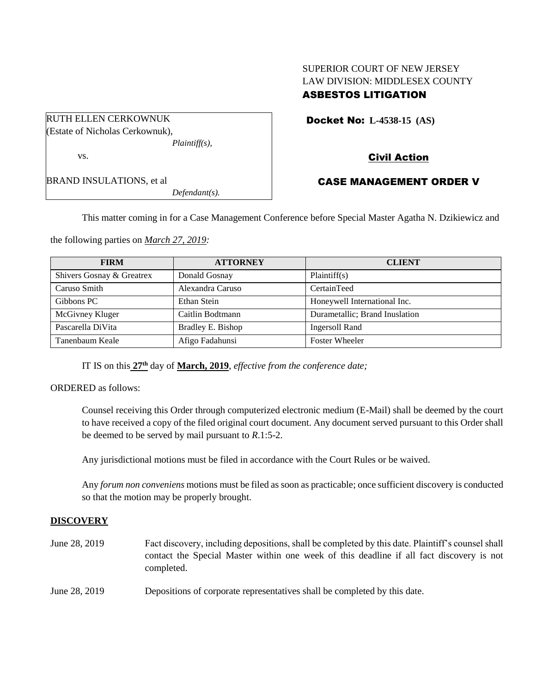## SUPERIOR COURT OF NEW JERSEY LAW DIVISION: MIDDLESEX COUNTY ASBESTOS LITIGATION

| RUTH ELLEN CERKOWNUK            |                  |
|---------------------------------|------------------|
| (Estate of Nicholas Cerkownuk), |                  |
|                                 | $Plaintiff(s)$ , |
| VS.                             |                  |
| <b>BRAND INSULATIONS, et al</b> |                  |
|                                 | $Defendant(s)$ . |

# Docket No: **L-4538-15 (AS)**

## Civil Action

### CASE MANAGEMENT ORDER V

This matter coming in for a Case Management Conference before Special Master Agatha N. Dzikiewicz and

the following parties on *March 27, 2019:*

| <b>FIRM</b>               | <b>ATTORNEY</b>   | <b>CLIENT</b>                  |
|---------------------------|-------------------|--------------------------------|
| Shivers Gosnay & Greatrex | Donald Gosnay     | Plaintiff(s)                   |
| Caruso Smith              | Alexandra Caruso  | CertainTeed                    |
| Gibbons PC                | Ethan Stein       | Honeywell International Inc.   |
| McGivney Kluger           | Caitlin Bodtmann  | Durametallic; Brand Inuslation |
| Pascarella DiVita         | Bradley E. Bishop | <b>Ingersoll Rand</b>          |
| Tanenbaum Keale           | Afigo Fadahunsi   | <b>Foster Wheeler</b>          |

IT IS on this **27th** day of **March, 2019**, *effective from the conference date;*

ORDERED as follows:

Counsel receiving this Order through computerized electronic medium (E-Mail) shall be deemed by the court to have received a copy of the filed original court document. Any document served pursuant to this Order shall be deemed to be served by mail pursuant to *R*.1:5-2.

Any jurisdictional motions must be filed in accordance with the Court Rules or be waived.

Any *forum non conveniens* motions must be filed as soon as practicable; once sufficient discovery is conducted so that the motion may be properly brought.

### **DISCOVERY**

June 28, 2019 Fact discovery, including depositions, shall be completed by this date. Plaintiff's counsel shall contact the Special Master within one week of this deadline if all fact discovery is not completed. June 28, 2019 Depositions of corporate representatives shall be completed by this date.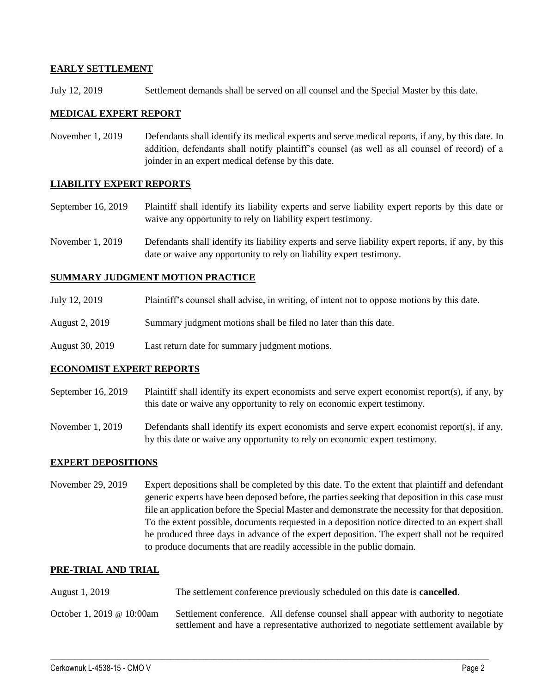#### **EARLY SETTLEMENT**

July 12, 2019 Settlement demands shall be served on all counsel and the Special Master by this date.

#### **MEDICAL EXPERT REPORT**

November 1, 2019 Defendants shall identify its medical experts and serve medical reports, if any, by this date. In addition, defendants shall notify plaintiff's counsel (as well as all counsel of record) of a joinder in an expert medical defense by this date.

#### **LIABILITY EXPERT REPORTS**

September 16, 2019 Plaintiff shall identify its liability experts and serve liability expert reports by this date or waive any opportunity to rely on liability expert testimony.

November 1, 2019 Defendants shall identify its liability experts and serve liability expert reports, if any, by this date or waive any opportunity to rely on liability expert testimony.

#### **SUMMARY JUDGMENT MOTION PRACTICE**

- July 12, 2019 Plaintiff's counsel shall advise, in writing, of intent not to oppose motions by this date.
- August 2, 2019 Summary judgment motions shall be filed no later than this date.
- August 30, 2019 Last return date for summary judgment motions.

#### **ECONOMIST EXPERT REPORTS**

- September 16, 2019 Plaintiff shall identify its expert economists and serve expert economist report(s), if any, by this date or waive any opportunity to rely on economic expert testimony.
- November 1, 2019 Defendants shall identify its expert economists and serve expert economist report(s), if any, by this date or waive any opportunity to rely on economic expert testimony.

#### **EXPERT DEPOSITIONS**

November 29, 2019 Expert depositions shall be completed by this date. To the extent that plaintiff and defendant generic experts have been deposed before, the parties seeking that deposition in this case must file an application before the Special Master and demonstrate the necessity for that deposition. To the extent possible, documents requested in a deposition notice directed to an expert shall be produced three days in advance of the expert deposition. The expert shall not be required to produce documents that are readily accessible in the public domain.

#### **PRE-TRIAL AND TRIAL**

- August 1, 2019 The settlement conference previously scheduled on this date is **cancelled**.
- October 1, 2019 @ 10:00am Settlement conference. All defense counsel shall appear with authority to negotiate settlement and have a representative authorized to negotiate settlement available by

 $\_$  ,  $\_$  ,  $\_$  ,  $\_$  ,  $\_$  ,  $\_$  ,  $\_$  ,  $\_$  ,  $\_$  ,  $\_$  ,  $\_$  ,  $\_$  ,  $\_$  ,  $\_$  ,  $\_$  ,  $\_$  ,  $\_$  ,  $\_$  ,  $\_$  ,  $\_$  ,  $\_$  ,  $\_$  ,  $\_$  ,  $\_$  ,  $\_$  ,  $\_$  ,  $\_$  ,  $\_$  ,  $\_$  ,  $\_$  ,  $\_$  ,  $\_$  ,  $\_$  ,  $\_$  ,  $\_$  ,  $\_$  ,  $\_$  ,